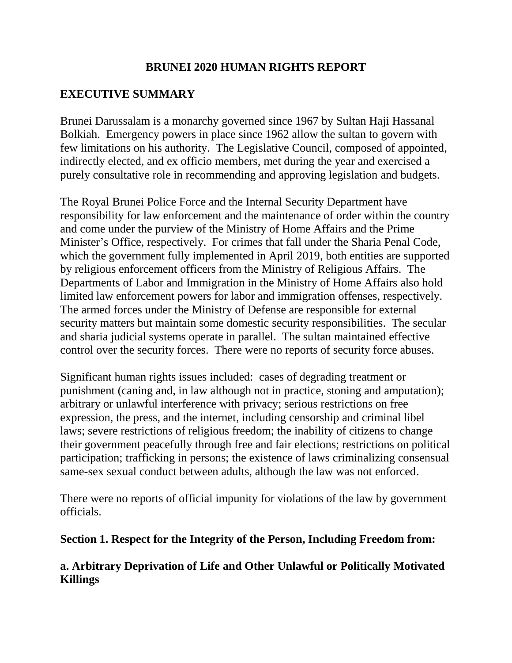### **BRUNEI 2020 HUMAN RIGHTS REPORT**

# **EXECUTIVE SUMMARY**

Brunei Darussalam is a monarchy governed since 1967 by Sultan Haji Hassanal Bolkiah. Emergency powers in place since 1962 allow the sultan to govern with few limitations on his authority. The Legislative Council, composed of appointed, indirectly elected, and ex officio members, met during the year and exercised a purely consultative role in recommending and approving legislation and budgets.

The Royal Brunei Police Force and the Internal Security Department have responsibility for law enforcement and the maintenance of order within the country and come under the purview of the Ministry of Home Affairs and the Prime Minister's Office, respectively. For crimes that fall under the Sharia Penal Code, which the government fully implemented in April 2019, both entities are supported by religious enforcement officers from the Ministry of Religious Affairs. The Departments of Labor and Immigration in the Ministry of Home Affairs also hold limited law enforcement powers for labor and immigration offenses, respectively. The armed forces under the Ministry of Defense are responsible for external security matters but maintain some domestic security responsibilities. The secular and sharia judicial systems operate in parallel. The sultan maintained effective control over the security forces. There were no reports of security force abuses.

Significant human rights issues included: cases of degrading treatment or punishment (caning and, in law although not in practice, stoning and amputation); arbitrary or unlawful interference with privacy; serious restrictions on free expression, the press, and the internet, including censorship and criminal libel laws; severe restrictions of religious freedom; the inability of citizens to change their government peacefully through free and fair elections; restrictions on political participation; trafficking in persons; the existence of laws criminalizing consensual same-sex sexual conduct between adults, although the law was not enforced.

There were no reports of official impunity for violations of the law by government officials.

#### **Section 1. Respect for the Integrity of the Person, Including Freedom from:**

# **a. Arbitrary Deprivation of Life and Other Unlawful or Politically Motivated Killings**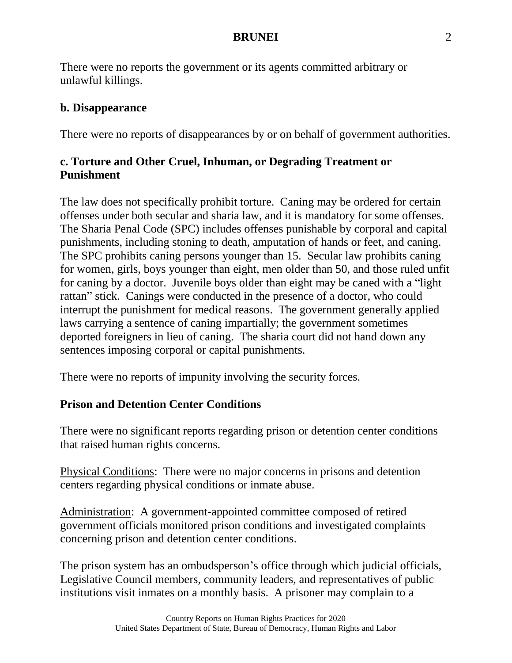There were no reports the government or its agents committed arbitrary or unlawful killings.

#### **b. Disappearance**

There were no reports of disappearances by or on behalf of government authorities.

# **c. Torture and Other Cruel, Inhuman, or Degrading Treatment or Punishment**

The law does not specifically prohibit torture. Caning may be ordered for certain offenses under both secular and sharia law, and it is mandatory for some offenses. The Sharia Penal Code (SPC) includes offenses punishable by corporal and capital punishments, including stoning to death, amputation of hands or feet, and caning. The SPC prohibits caning persons younger than 15. Secular law prohibits caning for women, girls, boys younger than eight, men older than 50, and those ruled unfit for caning by a doctor. Juvenile boys older than eight may be caned with a "light rattan" stick. Canings were conducted in the presence of a doctor, who could interrupt the punishment for medical reasons. The government generally applied laws carrying a sentence of caning impartially; the government sometimes deported foreigners in lieu of caning. The sharia court did not hand down any sentences imposing corporal or capital punishments.

There were no reports of impunity involving the security forces.

# **Prison and Detention Center Conditions**

There were no significant reports regarding prison or detention center conditions that raised human rights concerns.

Physical Conditions: There were no major concerns in prisons and detention centers regarding physical conditions or inmate abuse.

Administration: A government-appointed committee composed of retired government officials monitored prison conditions and investigated complaints concerning prison and detention center conditions.

The prison system has an ombudsperson's office through which judicial officials, Legislative Council members, community leaders, and representatives of public institutions visit inmates on a monthly basis. A prisoner may complain to a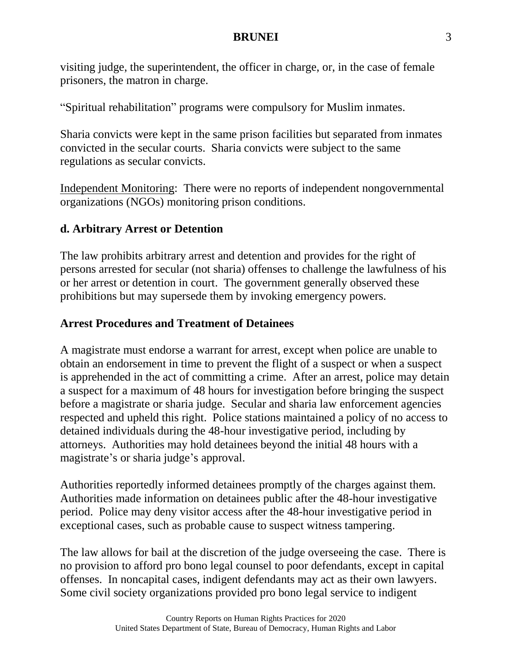visiting judge, the superintendent, the officer in charge, or, in the case of female prisoners, the matron in charge.

"Spiritual rehabilitation" programs were compulsory for Muslim inmates.

Sharia convicts were kept in the same prison facilities but separated from inmates convicted in the secular courts. Sharia convicts were subject to the same regulations as secular convicts.

Independent Monitoring: There were no reports of independent nongovernmental organizations (NGOs) monitoring prison conditions.

# **d. Arbitrary Arrest or Detention**

The law prohibits arbitrary arrest and detention and provides for the right of persons arrested for secular (not sharia) offenses to challenge the lawfulness of his or her arrest or detention in court. The government generally observed these prohibitions but may supersede them by invoking emergency powers.

# **Arrest Procedures and Treatment of Detainees**

A magistrate must endorse a warrant for arrest, except when police are unable to obtain an endorsement in time to prevent the flight of a suspect or when a suspect is apprehended in the act of committing a crime. After an arrest, police may detain a suspect for a maximum of 48 hours for investigation before bringing the suspect before a magistrate or sharia judge. Secular and sharia law enforcement agencies respected and upheld this right. Police stations maintained a policy of no access to detained individuals during the 48-hour investigative period, including by attorneys. Authorities may hold detainees beyond the initial 48 hours with a magistrate's or sharia judge's approval.

Authorities reportedly informed detainees promptly of the charges against them. Authorities made information on detainees public after the 48-hour investigative period. Police may deny visitor access after the 48-hour investigative period in exceptional cases, such as probable cause to suspect witness tampering.

The law allows for bail at the discretion of the judge overseeing the case. There is no provision to afford pro bono legal counsel to poor defendants, except in capital offenses. In noncapital cases, indigent defendants may act as their own lawyers. Some civil society organizations provided pro bono legal service to indigent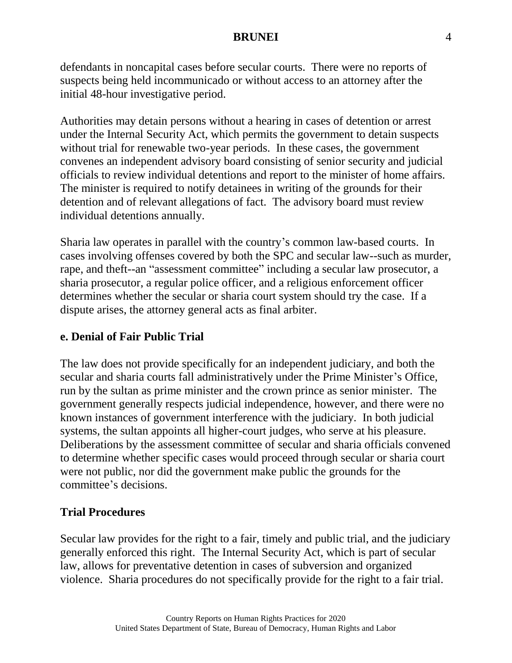defendants in noncapital cases before secular courts. There were no reports of suspects being held incommunicado or without access to an attorney after the initial 48-hour investigative period.

Authorities may detain persons without a hearing in cases of detention or arrest under the Internal Security Act, which permits the government to detain suspects without trial for renewable two-year periods. In these cases, the government convenes an independent advisory board consisting of senior security and judicial officials to review individual detentions and report to the minister of home affairs. The minister is required to notify detainees in writing of the grounds for their detention and of relevant allegations of fact. The advisory board must review individual detentions annually.

Sharia law operates in parallel with the country's common law-based courts. In cases involving offenses covered by both the SPC and secular law--such as murder, rape, and theft--an "assessment committee" including a secular law prosecutor, a sharia prosecutor, a regular police officer, and a religious enforcement officer determines whether the secular or sharia court system should try the case. If a dispute arises, the attorney general acts as final arbiter.

#### **e. Denial of Fair Public Trial**

The law does not provide specifically for an independent judiciary, and both the secular and sharia courts fall administratively under the Prime Minister's Office, run by the sultan as prime minister and the crown prince as senior minister. The government generally respects judicial independence, however, and there were no known instances of government interference with the judiciary. In both judicial systems, the sultan appoints all higher-court judges, who serve at his pleasure. Deliberations by the assessment committee of secular and sharia officials convened to determine whether specific cases would proceed through secular or sharia court were not public, nor did the government make public the grounds for the committee's decisions.

#### **Trial Procedures**

Secular law provides for the right to a fair, timely and public trial, and the judiciary generally enforced this right. The Internal Security Act, which is part of secular law, allows for preventative detention in cases of subversion and organized violence. Sharia procedures do not specifically provide for the right to a fair trial.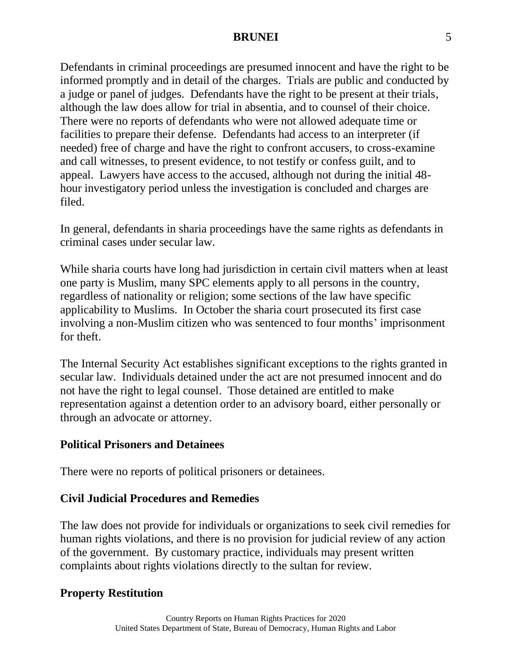Defendants in criminal proceedings are presumed innocent and have the right to be informed promptly and in detail of the charges. Trials are public and conducted by a judge or panel of judges. Defendants have the right to be present at their trials, although the law does allow for trial in absentia, and to counsel of their choice. There were no reports of defendants who were not allowed adequate time or facilities to prepare their defense. Defendants had access to an interpreter (if needed) free of charge and have the right to confront accusers, to cross-examine and call witnesses, to present evidence, to not testify or confess guilt, and to appeal. Lawyers have access to the accused, although not during the initial 48 hour investigatory period unless the investigation is concluded and charges are filed.

In general, defendants in sharia proceedings have the same rights as defendants in criminal cases under secular law.

While sharia courts have long had jurisdiction in certain civil matters when at least one party is Muslim, many SPC elements apply to all persons in the country, regardless of nationality or religion; some sections of the law have specific applicability to Muslims. In October the sharia court prosecuted its first case involving a non-Muslim citizen who was sentenced to four months' imprisonment for theft.

The Internal Security Act establishes significant exceptions to the rights granted in secular law. Individuals detained under the act are not presumed innocent and do not have the right to legal counsel. Those detained are entitled to make representation against a detention order to an advisory board, either personally or through an advocate or attorney.

#### **Political Prisoners and Detainees**

There were no reports of political prisoners or detainees.

#### **Civil Judicial Procedures and Remedies**

The law does not provide for individuals or organizations to seek civil remedies for human rights violations, and there is no provision for judicial review of any action of the government. By customary practice, individuals may present written complaints about rights violations directly to the sultan for review.

#### **Property Restitution**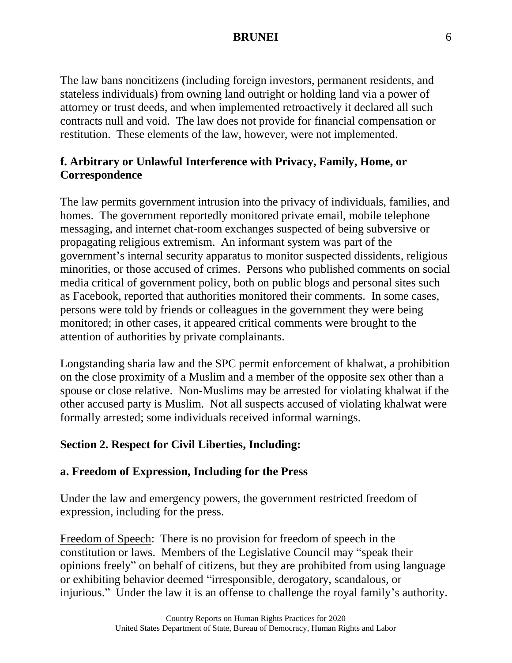The law bans noncitizens (including foreign investors, permanent residents, and stateless individuals) from owning land outright or holding land via a power of attorney or trust deeds, and when implemented retroactively it declared all such contracts null and void. The law does not provide for financial compensation or restitution. These elements of the law, however, were not implemented.

# **f. Arbitrary or Unlawful Interference with Privacy, Family, Home, or Correspondence**

The law permits government intrusion into the privacy of individuals, families, and homes. The government reportedly monitored private email, mobile telephone messaging, and internet chat-room exchanges suspected of being subversive or propagating religious extremism. An informant system was part of the government's internal security apparatus to monitor suspected dissidents, religious minorities, or those accused of crimes. Persons who published comments on social media critical of government policy, both on public blogs and personal sites such as Facebook, reported that authorities monitored their comments. In some cases, persons were told by friends or colleagues in the government they were being monitored; in other cases, it appeared critical comments were brought to the attention of authorities by private complainants.

Longstanding sharia law and the SPC permit enforcement of khalwat, a prohibition on the close proximity of a Muslim and a member of the opposite sex other than a spouse or close relative. Non-Muslims may be arrested for violating khalwat if the other accused party is Muslim. Not all suspects accused of violating khalwat were formally arrested; some individuals received informal warnings.

# **Section 2. Respect for Civil Liberties, Including:**

# **a. Freedom of Expression, Including for the Press**

Under the law and emergency powers, the government restricted freedom of expression, including for the press.

Freedom of Speech: There is no provision for freedom of speech in the constitution or laws. Members of the Legislative Council may "speak their opinions freely" on behalf of citizens, but they are prohibited from using language or exhibiting behavior deemed "irresponsible, derogatory, scandalous, or injurious." Under the law it is an offense to challenge the royal family's authority.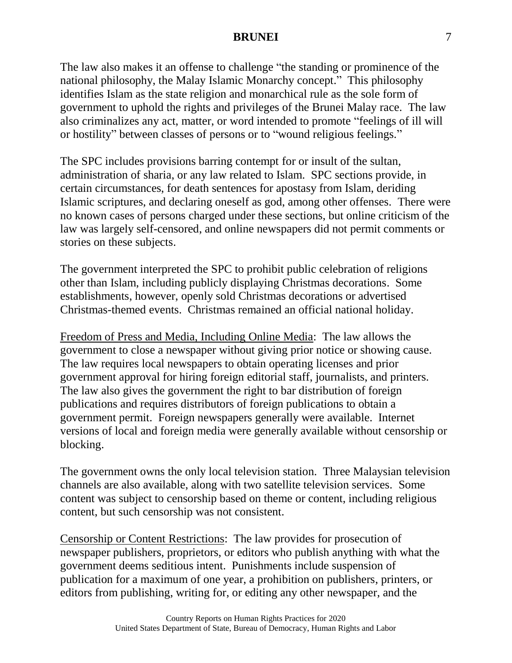The law also makes it an offense to challenge "the standing or prominence of the national philosophy, the Malay Islamic Monarchy concept." This philosophy identifies Islam as the state religion and monarchical rule as the sole form of government to uphold the rights and privileges of the Brunei Malay race. The law also criminalizes any act, matter, or word intended to promote "feelings of ill will or hostility" between classes of persons or to "wound religious feelings."

The SPC includes provisions barring contempt for or insult of the sultan, administration of sharia, or any law related to Islam. SPC sections provide, in certain circumstances, for death sentences for apostasy from Islam, deriding Islamic scriptures, and declaring oneself as god, among other offenses. There were no known cases of persons charged under these sections, but online criticism of the law was largely self-censored, and online newspapers did not permit comments or stories on these subjects.

The government interpreted the SPC to prohibit public celebration of religions other than Islam, including publicly displaying Christmas decorations. Some establishments, however, openly sold Christmas decorations or advertised Christmas-themed events. Christmas remained an official national holiday.

Freedom of Press and Media, Including Online Media: The law allows the government to close a newspaper without giving prior notice or showing cause. The law requires local newspapers to obtain operating licenses and prior government approval for hiring foreign editorial staff, journalists, and printers. The law also gives the government the right to bar distribution of foreign publications and requires distributors of foreign publications to obtain a government permit. Foreign newspapers generally were available. Internet versions of local and foreign media were generally available without censorship or blocking.

The government owns the only local television station. Three Malaysian television channels are also available, along with two satellite television services. Some content was subject to censorship based on theme or content, including religious content, but such censorship was not consistent.

Censorship or Content Restrictions: The law provides for prosecution of newspaper publishers, proprietors, or editors who publish anything with what the government deems seditious intent. Punishments include suspension of publication for a maximum of one year, a prohibition on publishers, printers, or editors from publishing, writing for, or editing any other newspaper, and the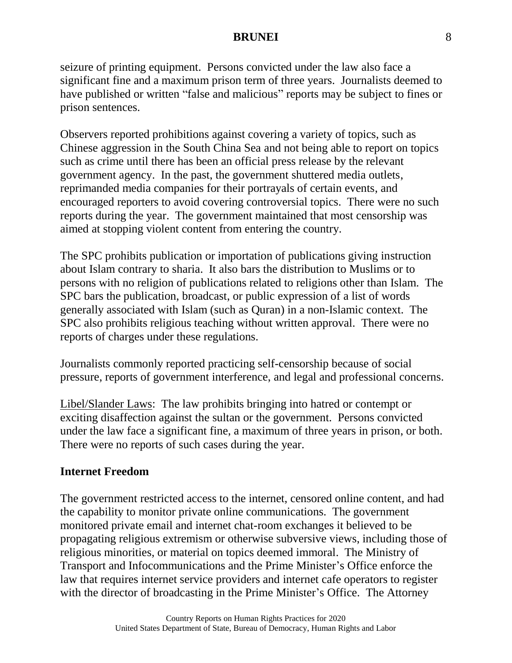seizure of printing equipment. Persons convicted under the law also face a significant fine and a maximum prison term of three years. Journalists deemed to have published or written "false and malicious" reports may be subject to fines or prison sentences.

Observers reported prohibitions against covering a variety of topics, such as Chinese aggression in the South China Sea and not being able to report on topics such as crime until there has been an official press release by the relevant government agency. In the past, the government shuttered media outlets, reprimanded media companies for their portrayals of certain events, and encouraged reporters to avoid covering controversial topics. There were no such reports during the year. The government maintained that most censorship was aimed at stopping violent content from entering the country.

The SPC prohibits publication or importation of publications giving instruction about Islam contrary to sharia. It also bars the distribution to Muslims or to persons with no religion of publications related to religions other than Islam. The SPC bars the publication, broadcast, or public expression of a list of words generally associated with Islam (such as Quran) in a non-Islamic context. The SPC also prohibits religious teaching without written approval. There were no reports of charges under these regulations.

Journalists commonly reported practicing self-censorship because of social pressure, reports of government interference, and legal and professional concerns.

Libel/Slander Laws: The law prohibits bringing into hatred or contempt or exciting disaffection against the sultan or the government. Persons convicted under the law face a significant fine, a maximum of three years in prison, or both. There were no reports of such cases during the year.

#### **Internet Freedom**

The government restricted access to the internet, censored online content, and had the capability to monitor private online communications. The government monitored private email and internet chat-room exchanges it believed to be propagating religious extremism or otherwise subversive views, including those of religious minorities, or material on topics deemed immoral. The Ministry of Transport and Infocommunications and the Prime Minister's Office enforce the law that requires internet service providers and internet cafe operators to register with the director of broadcasting in the Prime Minister's Office. The Attorney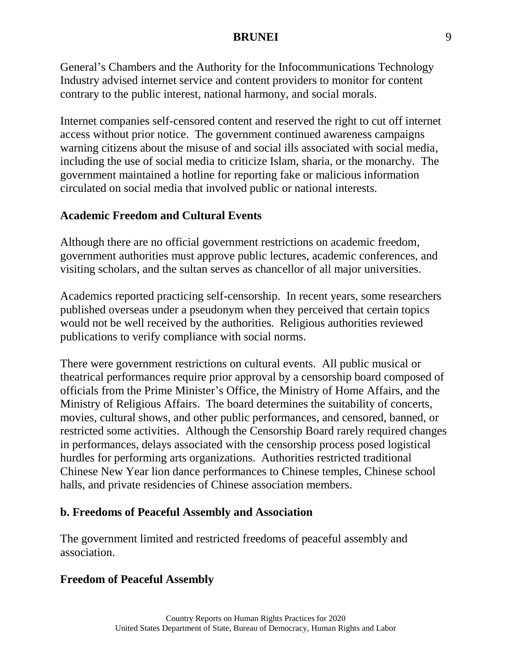General's Chambers and the Authority for the Infocommunications Technology Industry advised internet service and content providers to monitor for content contrary to the public interest, national harmony, and social morals.

Internet companies self-censored content and reserved the right to cut off internet access without prior notice. The government continued awareness campaigns warning citizens about the misuse of and social ills associated with social media, including the use of social media to criticize Islam, sharia, or the monarchy. The government maintained a hotline for reporting fake or malicious information circulated on social media that involved public or national interests.

# **Academic Freedom and Cultural Events**

Although there are no official government restrictions on academic freedom, government authorities must approve public lectures, academic conferences, and visiting scholars, and the sultan serves as chancellor of all major universities.

Academics reported practicing self-censorship. In recent years, some researchers published overseas under a pseudonym when they perceived that certain topics would not be well received by the authorities. Religious authorities reviewed publications to verify compliance with social norms.

There were government restrictions on cultural events. All public musical or theatrical performances require prior approval by a censorship board composed of officials from the Prime Minister's Office, the Ministry of Home Affairs, and the Ministry of Religious Affairs. The board determines the suitability of concerts, movies, cultural shows, and other public performances, and censored, banned, or restricted some activities. Although the Censorship Board rarely required changes in performances, delays associated with the censorship process posed logistical hurdles for performing arts organizations. Authorities restricted traditional Chinese New Year lion dance performances to Chinese temples, Chinese school halls, and private residencies of Chinese association members.

# **b. Freedoms of Peaceful Assembly and Association**

The government limited and restricted freedoms of peaceful assembly and association.

# **Freedom of Peaceful Assembly**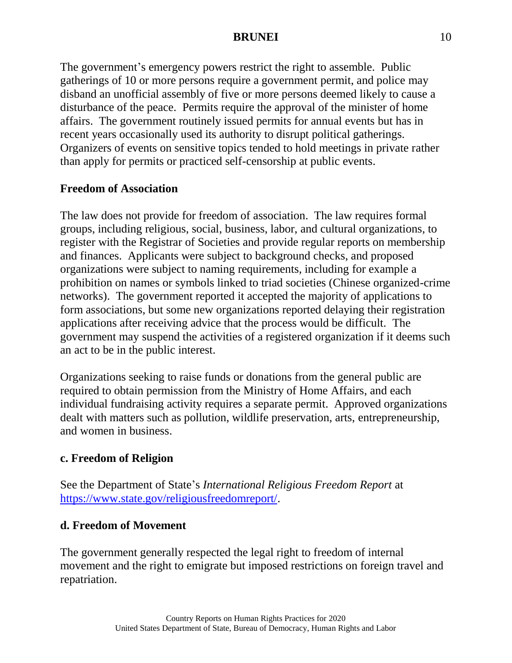The government's emergency powers restrict the right to assemble. Public gatherings of 10 or more persons require a government permit, and police may disband an unofficial assembly of five or more persons deemed likely to cause a disturbance of the peace. Permits require the approval of the minister of home affairs. The government routinely issued permits for annual events but has in recent years occasionally used its authority to disrupt political gatherings. Organizers of events on sensitive topics tended to hold meetings in private rather than apply for permits or practiced self-censorship at public events.

# **Freedom of Association**

The law does not provide for freedom of association. The law requires formal groups, including religious, social, business, labor, and cultural organizations, to register with the Registrar of Societies and provide regular reports on membership and finances. Applicants were subject to background checks, and proposed organizations were subject to naming requirements, including for example a prohibition on names or symbols linked to triad societies (Chinese organized-crime networks). The government reported it accepted the majority of applications to form associations, but some new organizations reported delaying their registration applications after receiving advice that the process would be difficult. The government may suspend the activities of a registered organization if it deems such an act to be in the public interest.

Organizations seeking to raise funds or donations from the general public are required to obtain permission from the Ministry of Home Affairs, and each individual fundraising activity requires a separate permit. Approved organizations dealt with matters such as pollution, wildlife preservation, arts, entrepreneurship, and women in business.

# **c. Freedom of Religion**

See the Department of State's *International Religious Freedom Report* at [https://www.state.gov/religiousfreedomreport/.](https://www.state.gov/religiousfreedomreport/)

# **d. Freedom of Movement**

The government generally respected the legal right to freedom of internal movement and the right to emigrate but imposed restrictions on foreign travel and repatriation.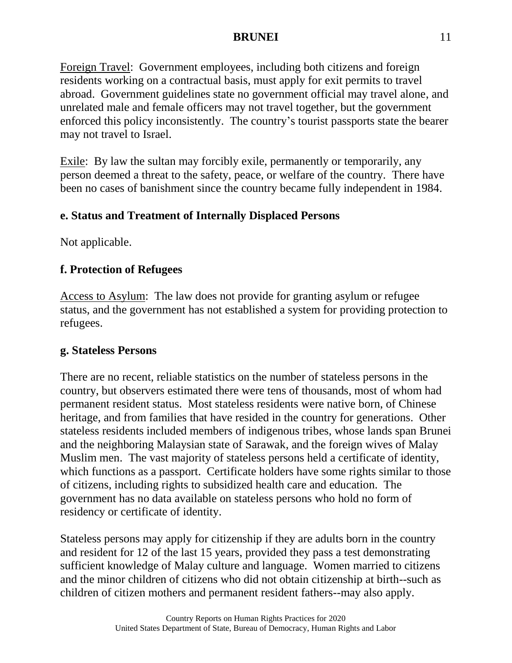Foreign Travel: Government employees, including both citizens and foreign residents working on a contractual basis, must apply for exit permits to travel abroad. Government guidelines state no government official may travel alone, and unrelated male and female officers may not travel together, but the government enforced this policy inconsistently. The country's tourist passports state the bearer may not travel to Israel.

Exile: By law the sultan may forcibly exile, permanently or temporarily, any person deemed a threat to the safety, peace, or welfare of the country. There have been no cases of banishment since the country became fully independent in 1984.

# **e. Status and Treatment of Internally Displaced Persons**

Not applicable.

# **f. Protection of Refugees**

Access to Asylum: The law does not provide for granting asylum or refugee status, and the government has not established a system for providing protection to refugees.

# **g. Stateless Persons**

There are no recent, reliable statistics on the number of stateless persons in the country, but observers estimated there were tens of thousands, most of whom had permanent resident status. Most stateless residents were native born, of Chinese heritage, and from families that have resided in the country for generations. Other stateless residents included members of indigenous tribes, whose lands span Brunei and the neighboring Malaysian state of Sarawak, and the foreign wives of Malay Muslim men. The vast majority of stateless persons held a certificate of identity, which functions as a passport. Certificate holders have some rights similar to those of citizens, including rights to subsidized health care and education. The government has no data available on stateless persons who hold no form of residency or certificate of identity.

Stateless persons may apply for citizenship if they are adults born in the country and resident for 12 of the last 15 years, provided they pass a test demonstrating sufficient knowledge of Malay culture and language. Women married to citizens and the minor children of citizens who did not obtain citizenship at birth--such as children of citizen mothers and permanent resident fathers--may also apply.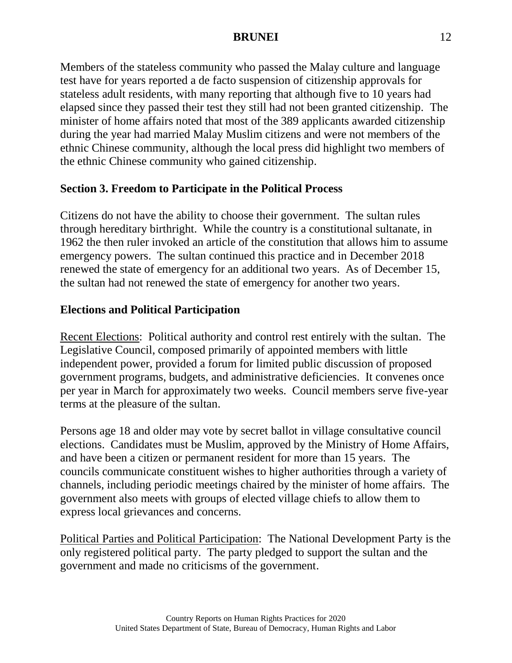Members of the stateless community who passed the Malay culture and language test have for years reported a de facto suspension of citizenship approvals for stateless adult residents, with many reporting that although five to 10 years had elapsed since they passed their test they still had not been granted citizenship. The minister of home affairs noted that most of the 389 applicants awarded citizenship during the year had married Malay Muslim citizens and were not members of the ethnic Chinese community, although the local press did highlight two members of the ethnic Chinese community who gained citizenship.

### **Section 3. Freedom to Participate in the Political Process**

Citizens do not have the ability to choose their government. The sultan rules through hereditary birthright. While the country is a constitutional sultanate, in 1962 the then ruler invoked an article of the constitution that allows him to assume emergency powers. The sultan continued this practice and in December 2018 renewed the state of emergency for an additional two years. As of December 15, the sultan had not renewed the state of emergency for another two years.

### **Elections and Political Participation**

Recent Elections: Political authority and control rest entirely with the sultan. The Legislative Council, composed primarily of appointed members with little independent power, provided a forum for limited public discussion of proposed government programs, budgets, and administrative deficiencies. It convenes once per year in March for approximately two weeks. Council members serve five-year terms at the pleasure of the sultan.

Persons age 18 and older may vote by secret ballot in village consultative council elections. Candidates must be Muslim, approved by the Ministry of Home Affairs, and have been a citizen or permanent resident for more than 15 years. The councils communicate constituent wishes to higher authorities through a variety of channels, including periodic meetings chaired by the minister of home affairs. The government also meets with groups of elected village chiefs to allow them to express local grievances and concerns.

Political Parties and Political Participation: The National Development Party is the only registered political party. The party pledged to support the sultan and the government and made no criticisms of the government.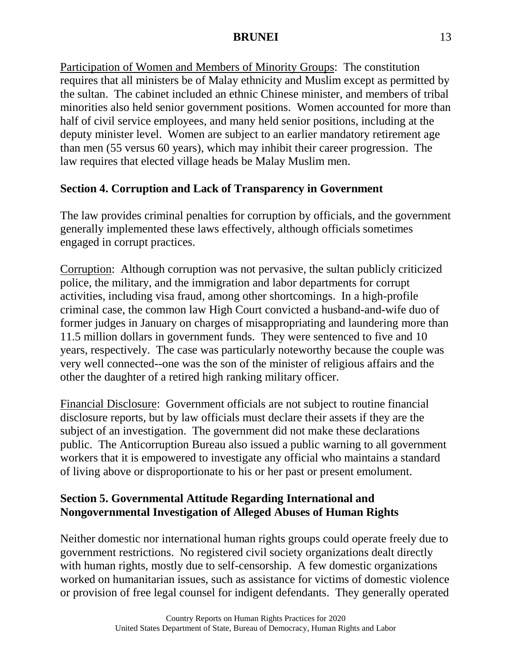Participation of Women and Members of Minority Groups: The constitution requires that all ministers be of Malay ethnicity and Muslim except as permitted by the sultan. The cabinet included an ethnic Chinese minister, and members of tribal minorities also held senior government positions. Women accounted for more than half of civil service employees, and many held senior positions, including at the deputy minister level. Women are subject to an earlier mandatory retirement age than men (55 versus 60 years), which may inhibit their career progression. The law requires that elected village heads be Malay Muslim men.

# **Section 4. Corruption and Lack of Transparency in Government**

The law provides criminal penalties for corruption by officials, and the government generally implemented these laws effectively, although officials sometimes engaged in corrupt practices.

Corruption: Although corruption was not pervasive, the sultan publicly criticized police, the military, and the immigration and labor departments for corrupt activities, including visa fraud, among other shortcomings. In a high-profile criminal case, the common law High Court convicted a husband-and-wife duo of former judges in January on charges of misappropriating and laundering more than 11.5 million dollars in government funds. They were sentenced to five and 10 years, respectively. The case was particularly noteworthy because the couple was very well connected--one was the son of the minister of religious affairs and the other the daughter of a retired high ranking military officer.

Financial Disclosure: Government officials are not subject to routine financial disclosure reports, but by law officials must declare their assets if they are the subject of an investigation. The government did not make these declarations public. The Anticorruption Bureau also issued a public warning to all government workers that it is empowered to investigate any official who maintains a standard of living above or disproportionate to his or her past or present emolument.

# **Section 5. Governmental Attitude Regarding International and Nongovernmental Investigation of Alleged Abuses of Human Rights**

Neither domestic nor international human rights groups could operate freely due to government restrictions. No registered civil society organizations dealt directly with human rights, mostly due to self-censorship. A few domestic organizations worked on humanitarian issues, such as assistance for victims of domestic violence or provision of free legal counsel for indigent defendants. They generally operated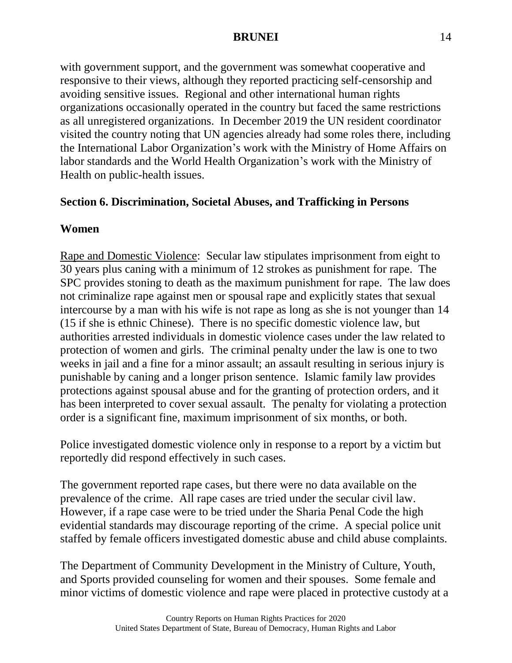with government support, and the government was somewhat cooperative and responsive to their views, although they reported practicing self-censorship and avoiding sensitive issues. Regional and other international human rights organizations occasionally operated in the country but faced the same restrictions as all unregistered organizations. In December 2019 the UN resident coordinator visited the country noting that UN agencies already had some roles there, including the International Labor Organization's work with the Ministry of Home Affairs on labor standards and the World Health Organization's work with the Ministry of Health on public-health issues.

### **Section 6. Discrimination, Societal Abuses, and Trafficking in Persons**

### **Women**

Rape and Domestic Violence: Secular law stipulates imprisonment from eight to 30 years plus caning with a minimum of 12 strokes as punishment for rape. The SPC provides stoning to death as the maximum punishment for rape. The law does not criminalize rape against men or spousal rape and explicitly states that sexual intercourse by a man with his wife is not rape as long as she is not younger than 14 (15 if she is ethnic Chinese). There is no specific domestic violence law, but authorities arrested individuals in domestic violence cases under the law related to protection of women and girls. The criminal penalty under the law is one to two weeks in jail and a fine for a minor assault; an assault resulting in serious injury is punishable by caning and a longer prison sentence. Islamic family law provides protections against spousal abuse and for the granting of protection orders, and it has been interpreted to cover sexual assault. The penalty for violating a protection order is a significant fine, maximum imprisonment of six months, or both.

Police investigated domestic violence only in response to a report by a victim but reportedly did respond effectively in such cases.

The government reported rape cases, but there were no data available on the prevalence of the crime. All rape cases are tried under the secular civil law. However, if a rape case were to be tried under the Sharia Penal Code the high evidential standards may discourage reporting of the crime. A special police unit staffed by female officers investigated domestic abuse and child abuse complaints.

The Department of Community Development in the Ministry of Culture, Youth, and Sports provided counseling for women and their spouses. Some female and minor victims of domestic violence and rape were placed in protective custody at a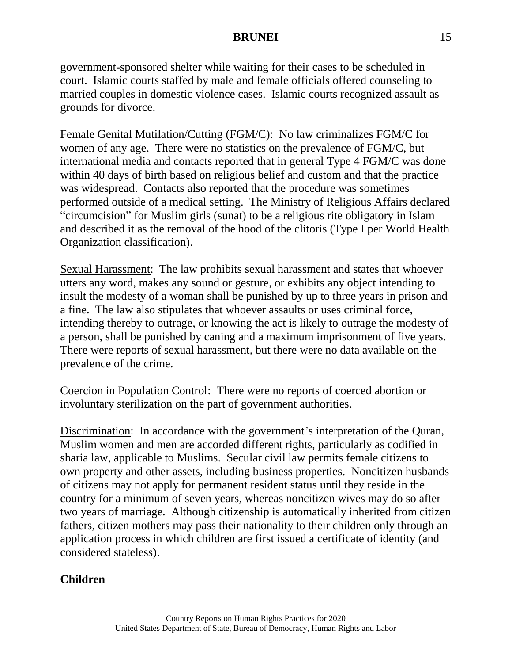government-sponsored shelter while waiting for their cases to be scheduled in court. Islamic courts staffed by male and female officials offered counseling to married couples in domestic violence cases. Islamic courts recognized assault as grounds for divorce.

Female Genital Mutilation/Cutting (FGM/C): No law criminalizes FGM/C for women of any age. There were no statistics on the prevalence of FGM/C, but international media and contacts reported that in general Type 4 FGM/C was done within 40 days of birth based on religious belief and custom and that the practice was widespread. Contacts also reported that the procedure was sometimes performed outside of a medical setting. The Ministry of Religious Affairs declared "circumcision" for Muslim girls (sunat) to be a religious rite obligatory in Islam and described it as the removal of the hood of the clitoris (Type I per World Health Organization classification).

Sexual Harassment: The law prohibits sexual harassment and states that whoever utters any word, makes any sound or gesture, or exhibits any object intending to insult the modesty of a woman shall be punished by up to three years in prison and a fine. The law also stipulates that whoever assaults or uses criminal force, intending thereby to outrage, or knowing the act is likely to outrage the modesty of a person, shall be punished by caning and a maximum imprisonment of five years. There were reports of sexual harassment, but there were no data available on the prevalence of the crime.

Coercion in Population Control: There were no reports of coerced abortion or involuntary sterilization on the part of government authorities.

Discrimination: In accordance with the government's interpretation of the Quran, Muslim women and men are accorded different rights, particularly as codified in sharia law, applicable to Muslims. Secular civil law permits female citizens to own property and other assets, including business properties. Noncitizen husbands of citizens may not apply for permanent resident status until they reside in the country for a minimum of seven years, whereas noncitizen wives may do so after two years of marriage. Although citizenship is automatically inherited from citizen fathers, citizen mothers may pass their nationality to their children only through an application process in which children are first issued a certificate of identity (and considered stateless).

# **Children**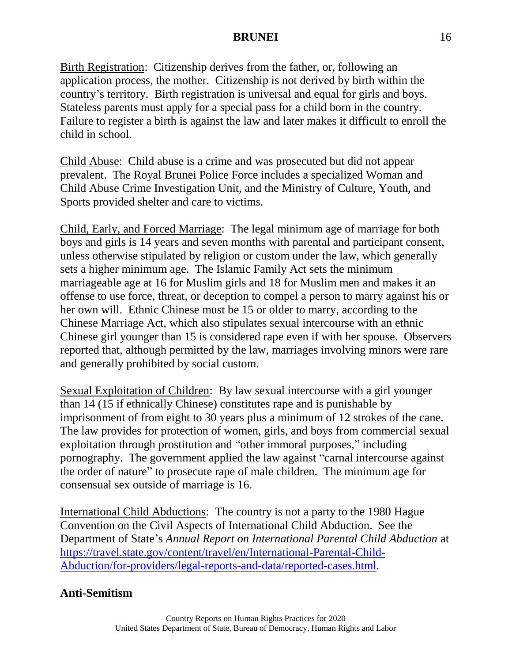Birth Registration: Citizenship derives from the father, or, following an application process, the mother. Citizenship is not derived by birth within the country's territory. Birth registration is universal and equal for girls and boys. Stateless parents must apply for a special pass for a child born in the country. Failure to register a birth is against the law and later makes it difficult to enroll the child in school.

Child Abuse: Child abuse is a crime and was prosecuted but did not appear prevalent. The Royal Brunei Police Force includes a specialized Woman and Child Abuse Crime Investigation Unit, and the Ministry of Culture, Youth, and Sports provided shelter and care to victims.

Child, Early, and Forced Marriage: The legal minimum age of marriage for both boys and girls is 14 years and seven months with parental and participant consent, unless otherwise stipulated by religion or custom under the law, which generally sets a higher minimum age. The Islamic Family Act sets the minimum marriageable age at 16 for Muslim girls and 18 for Muslim men and makes it an offense to use force, threat, or deception to compel a person to marry against his or her own will. Ethnic Chinese must be 15 or older to marry, according to the Chinese Marriage Act, which also stipulates sexual intercourse with an ethnic Chinese girl younger than 15 is considered rape even if with her spouse. Observers reported that, although permitted by the law, marriages involving minors were rare and generally prohibited by social custom.

Sexual Exploitation of Children: By law sexual intercourse with a girl younger than 14 (15 if ethnically Chinese) constitutes rape and is punishable by imprisonment of from eight to 30 years plus a minimum of 12 strokes of the cane. The law provides for protection of women, girls, and boys from commercial sexual exploitation through prostitution and "other immoral purposes," including pornography. The government applied the law against "carnal intercourse against the order of nature" to prosecute rape of male children. The minimum age for consensual sex outside of marriage is 16.

International Child Abductions: The country is not a party to the 1980 Hague Convention on the Civil Aspects of International Child Abduction. See the Department of State's *Annual Report on International Parental Child Abduction* at [https://travel.state.gov/content/travel/en/International-Parental-Child-](https://travel.state.gov/content/travel/en/International-Parental-Child-Abduction/for-providers/legal-reports-and-data/reported-cases.html)[Abduction/for-providers/legal-reports-and-data/reported-cases.html.](https://travel.state.gov/content/travel/en/International-Parental-Child-Abduction/for-providers/legal-reports-and-data/reported-cases.html)

# **Anti-Semitism**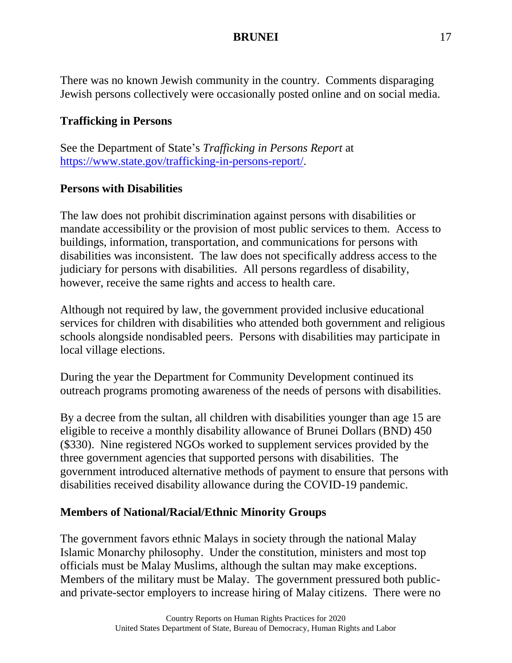There was no known Jewish community in the country. Comments disparaging Jewish persons collectively were occasionally posted online and on social media.

# **Trafficking in Persons**

See the Department of State's *Trafficking in Persons Report* at [https://www.state.gov/trafficking-in-persons-report/.](http://www.state.gov/trafficking-in-persons-report/)

# **Persons with Disabilities**

The law does not prohibit discrimination against persons with disabilities or mandate accessibility or the provision of most public services to them. Access to buildings, information, transportation, and communications for persons with disabilities was inconsistent. The law does not specifically address access to the judiciary for persons with disabilities. All persons regardless of disability, however, receive the same rights and access to health care.

Although not required by law, the government provided inclusive educational services for children with disabilities who attended both government and religious schools alongside nondisabled peers. Persons with disabilities may participate in local village elections.

During the year the Department for Community Development continued its outreach programs promoting awareness of the needs of persons with disabilities.

By a decree from the sultan, all children with disabilities younger than age 15 are eligible to receive a monthly disability allowance of Brunei Dollars (BND) 450 (\$330). Nine registered NGOs worked to supplement services provided by the three government agencies that supported persons with disabilities. The government introduced alternative methods of payment to ensure that persons with disabilities received disability allowance during the COVID-19 pandemic.

# **Members of National/Racial/Ethnic Minority Groups**

The government favors ethnic Malays in society through the national Malay Islamic Monarchy philosophy. Under the constitution, ministers and most top officials must be Malay Muslims, although the sultan may make exceptions. Members of the military must be Malay. The government pressured both publicand private-sector employers to increase hiring of Malay citizens. There were no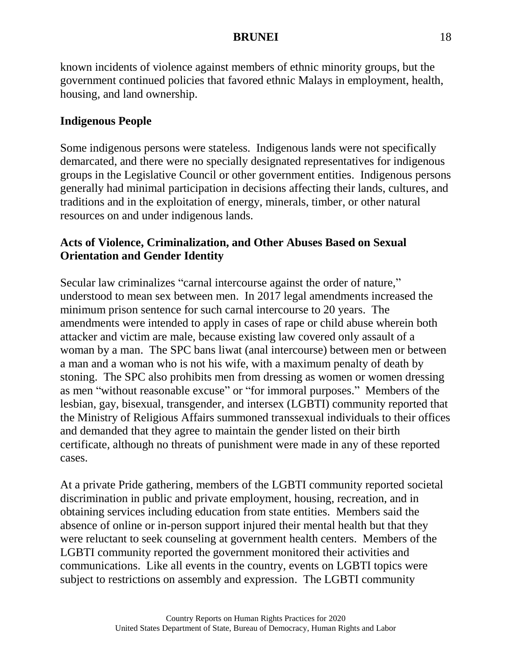known incidents of violence against members of ethnic minority groups, but the government continued policies that favored ethnic Malays in employment, health, housing, and land ownership.

# **Indigenous People**

Some indigenous persons were stateless. Indigenous lands were not specifically demarcated, and there were no specially designated representatives for indigenous groups in the Legislative Council or other government entities. Indigenous persons generally had minimal participation in decisions affecting their lands, cultures, and traditions and in the exploitation of energy, minerals, timber, or other natural resources on and under indigenous lands.

# **Acts of Violence, Criminalization, and Other Abuses Based on Sexual Orientation and Gender Identity**

Secular law criminalizes "carnal intercourse against the order of nature," understood to mean sex between men. In 2017 legal amendments increased the minimum prison sentence for such carnal intercourse to 20 years. The amendments were intended to apply in cases of rape or child abuse wherein both attacker and victim are male, because existing law covered only assault of a woman by a man. The SPC bans liwat (anal intercourse) between men or between a man and a woman who is not his wife, with a maximum penalty of death by stoning. The SPC also prohibits men from dressing as women or women dressing as men "without reasonable excuse" or "for immoral purposes." Members of the lesbian, gay, bisexual, transgender, and intersex (LGBTI) community reported that the Ministry of Religious Affairs summoned transsexual individuals to their offices and demanded that they agree to maintain the gender listed on their birth certificate, although no threats of punishment were made in any of these reported cases.

At a private Pride gathering, members of the LGBTI community reported societal discrimination in public and private employment, housing, recreation, and in obtaining services including education from state entities. Members said the absence of online or in-person support injured their mental health but that they were reluctant to seek counseling at government health centers. Members of the LGBTI community reported the government monitored their activities and communications. Like all events in the country, events on LGBTI topics were subject to restrictions on assembly and expression. The LGBTI community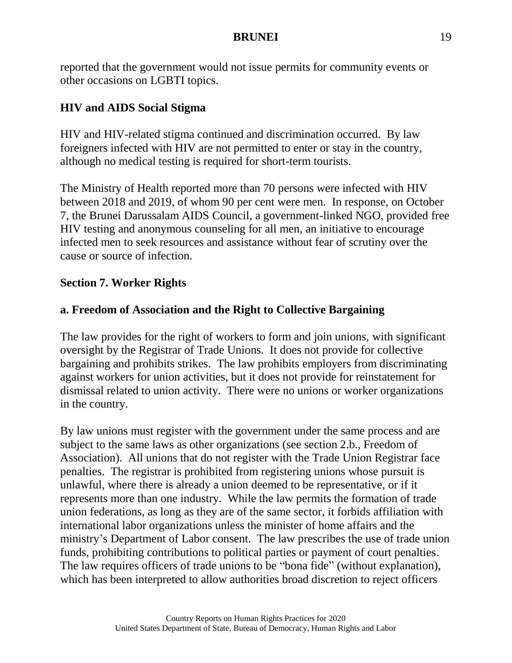reported that the government would not issue permits for community events or other occasions on LGBTI topics.

# **HIV and AIDS Social Stigma**

HIV and HIV-related stigma continued and discrimination occurred. By law foreigners infected with HIV are not permitted to enter or stay in the country, although no medical testing is required for short-term tourists.

The Ministry of Health reported more than 70 persons were infected with HIV between 2018 and 2019, of whom 90 per cent were men. In response, on October 7, the Brunei Darussalam AIDS Council, a government-linked NGO, provided free HIV testing and anonymous counseling for all men, an initiative to encourage infected men to seek resources and assistance without fear of scrutiny over the cause or source of infection.

# **Section 7. Worker Rights**

# **a. Freedom of Association and the Right to Collective Bargaining**

The law provides for the right of workers to form and join unions, with significant oversight by the Registrar of Trade Unions. It does not provide for collective bargaining and prohibits strikes. The law prohibits employers from discriminating against workers for union activities, but it does not provide for reinstatement for dismissal related to union activity. There were no unions or worker organizations in the country.

By law unions must register with the government under the same process and are subject to the same laws as other organizations (see section 2.b., Freedom of Association). All unions that do not register with the Trade Union Registrar face penalties. The registrar is prohibited from registering unions whose pursuit is unlawful, where there is already a union deemed to be representative, or if it represents more than one industry. While the law permits the formation of trade union federations, as long as they are of the same sector, it forbids affiliation with international labor organizations unless the minister of home affairs and the ministry's Department of Labor consent. The law prescribes the use of trade union funds, prohibiting contributions to political parties or payment of court penalties. The law requires officers of trade unions to be "bona fide" (without explanation), which has been interpreted to allow authorities broad discretion to reject officers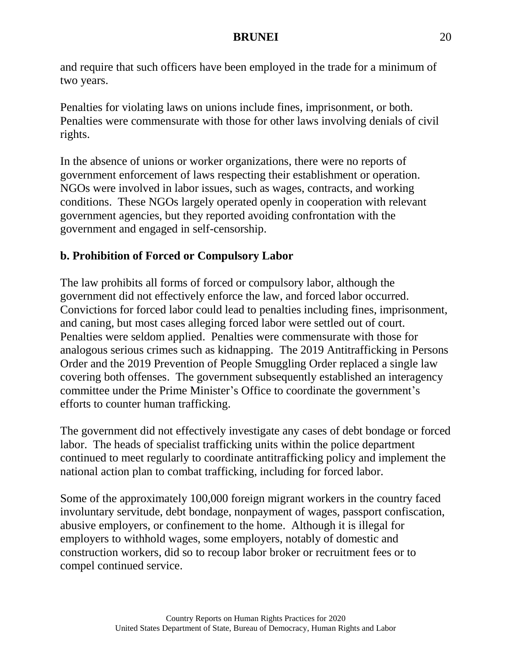and require that such officers have been employed in the trade for a minimum of two years.

Penalties for violating laws on unions include fines, imprisonment, or both. Penalties were commensurate with those for other laws involving denials of civil rights.

In the absence of unions or worker organizations, there were no reports of government enforcement of laws respecting their establishment or operation. NGOs were involved in labor issues, such as wages, contracts, and working conditions. These NGOs largely operated openly in cooperation with relevant government agencies, but they reported avoiding confrontation with the government and engaged in self-censorship.

# **b. Prohibition of Forced or Compulsory Labor**

The law prohibits all forms of forced or compulsory labor, although the government did not effectively enforce the law, and forced labor occurred. Convictions for forced labor could lead to penalties including fines, imprisonment, and caning, but most cases alleging forced labor were settled out of court. Penalties were seldom applied. Penalties were commensurate with those for analogous serious crimes such as kidnapping. The 2019 Antitrafficking in Persons Order and the 2019 Prevention of People Smuggling Order replaced a single law covering both offenses. The government subsequently established an interagency committee under the Prime Minister's Office to coordinate the government's efforts to counter human trafficking.

The government did not effectively investigate any cases of debt bondage or forced labor. The heads of specialist trafficking units within the police department continued to meet regularly to coordinate antitrafficking policy and implement the national action plan to combat trafficking, including for forced labor.

Some of the approximately 100,000 foreign migrant workers in the country faced involuntary servitude, debt bondage, nonpayment of wages, passport confiscation, abusive employers, or confinement to the home. Although it is illegal for employers to withhold wages, some employers, notably of domestic and construction workers, did so to recoup labor broker or recruitment fees or to compel continued service.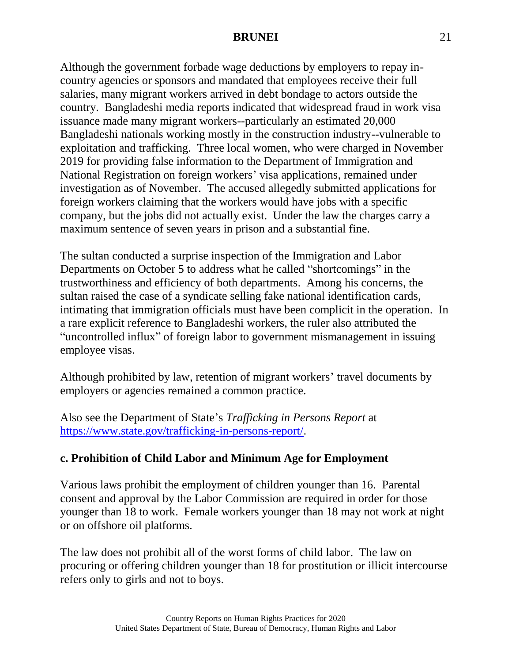Although the government forbade wage deductions by employers to repay incountry agencies or sponsors and mandated that employees receive their full salaries, many migrant workers arrived in debt bondage to actors outside the country. Bangladeshi media reports indicated that widespread fraud in work visa issuance made many migrant workers--particularly an estimated 20,000 Bangladeshi nationals working mostly in the construction industry--vulnerable to exploitation and trafficking. Three local women, who were charged in November 2019 for providing false information to the Department of Immigration and National Registration on foreign workers' visa applications, remained under investigation as of November. The accused allegedly submitted applications for foreign workers claiming that the workers would have jobs with a specific company, but the jobs did not actually exist. Under the law the charges carry a maximum sentence of seven years in prison and a substantial fine.

The sultan conducted a surprise inspection of the Immigration and Labor Departments on October 5 to address what he called "shortcomings" in the trustworthiness and efficiency of both departments. Among his concerns, the sultan raised the case of a syndicate selling fake national identification cards, intimating that immigration officials must have been complicit in the operation. In a rare explicit reference to Bangladeshi workers, the ruler also attributed the "uncontrolled influx" of foreign labor to government mismanagement in issuing employee visas.

Although prohibited by law, retention of migrant workers' travel documents by employers or agencies remained a common practice.

Also see the Department of State's *Trafficking in Persons Report* at [https://www.state.gov/trafficking-in-persons-report/.](https://www.state.gov/trafficking-in-persons-report/)

# **c. Prohibition of Child Labor and Minimum Age for Employment**

Various laws prohibit the employment of children younger than 16. Parental consent and approval by the Labor Commission are required in order for those younger than 18 to work. Female workers younger than 18 may not work at night or on offshore oil platforms.

The law does not prohibit all of the worst forms of child labor. The law on procuring or offering children younger than 18 for prostitution or illicit intercourse refers only to girls and not to boys.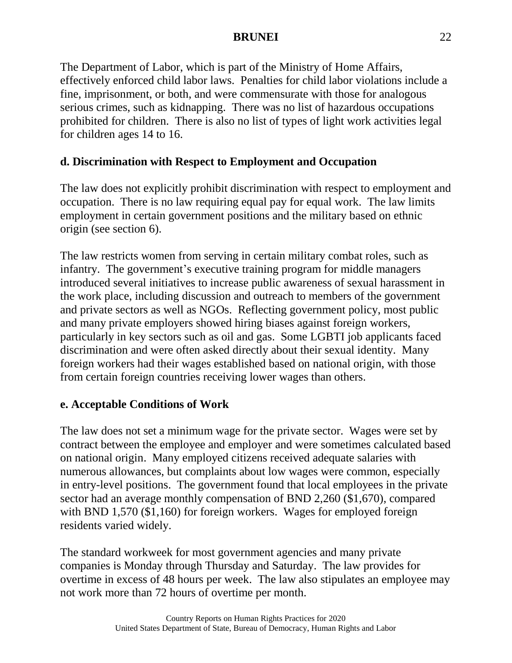The Department of Labor, which is part of the Ministry of Home Affairs, effectively enforced child labor laws. Penalties for child labor violations include a fine, imprisonment, or both, and were commensurate with those for analogous serious crimes, such as kidnapping. There was no list of hazardous occupations prohibited for children. There is also no list of types of light work activities legal for children ages 14 to 16.

# **d. Discrimination with Respect to Employment and Occupation**

The law does not explicitly prohibit discrimination with respect to employment and occupation. There is no law requiring equal pay for equal work. The law limits employment in certain government positions and the military based on ethnic origin (see section 6).

The law restricts women from serving in certain military combat roles, such as infantry. The government's executive training program for middle managers introduced several initiatives to increase public awareness of sexual harassment in the work place, including discussion and outreach to members of the government and private sectors as well as NGOs. Reflecting government policy, most public and many private employers showed hiring biases against foreign workers, particularly in key sectors such as oil and gas. Some LGBTI job applicants faced discrimination and were often asked directly about their sexual identity. Many foreign workers had their wages established based on national origin, with those from certain foreign countries receiving lower wages than others.

# **e. Acceptable Conditions of Work**

The law does not set a minimum wage for the private sector. Wages were set by contract between the employee and employer and were sometimes calculated based on national origin. Many employed citizens received adequate salaries with numerous allowances, but complaints about low wages were common, especially in entry-level positions. The government found that local employees in the private sector had an average monthly compensation of BND 2,260 (\$1,670), compared with BND 1,570 (\$1,160) for foreign workers. Wages for employed foreign residents varied widely.

The standard workweek for most government agencies and many private companies is Monday through Thursday and Saturday. The law provides for overtime in excess of 48 hours per week. The law also stipulates an employee may not work more than 72 hours of overtime per month.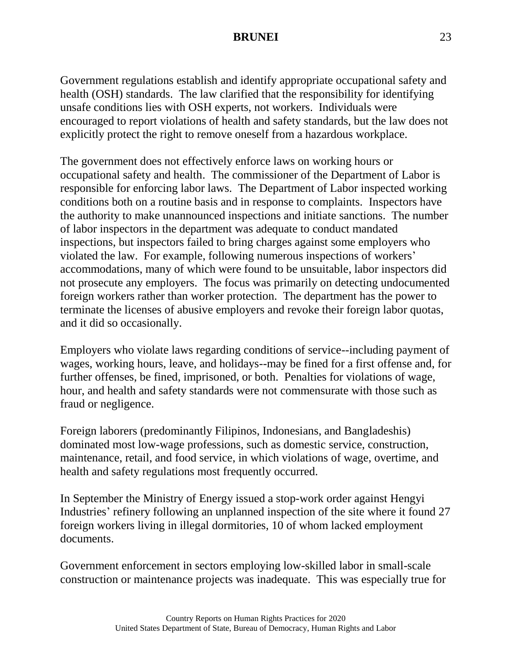Government regulations establish and identify appropriate occupational safety and health (OSH) standards. The law clarified that the responsibility for identifying unsafe conditions lies with OSH experts, not workers. Individuals were encouraged to report violations of health and safety standards, but the law does not explicitly protect the right to remove oneself from a hazardous workplace.

The government does not effectively enforce laws on working hours or occupational safety and health. The commissioner of the Department of Labor is responsible for enforcing labor laws. The Department of Labor inspected working conditions both on a routine basis and in response to complaints. Inspectors have the authority to make unannounced inspections and initiate sanctions. The number of labor inspectors in the department was adequate to conduct mandated inspections, but inspectors failed to bring charges against some employers who violated the law. For example, following numerous inspections of workers' accommodations, many of which were found to be unsuitable, labor inspectors did not prosecute any employers. The focus was primarily on detecting undocumented foreign workers rather than worker protection. The department has the power to terminate the licenses of abusive employers and revoke their foreign labor quotas, and it did so occasionally.

Employers who violate laws regarding conditions of service--including payment of wages, working hours, leave, and holidays--may be fined for a first offense and, for further offenses, be fined, imprisoned, or both. Penalties for violations of wage, hour, and health and safety standards were not commensurate with those such as fraud or negligence.

Foreign laborers (predominantly Filipinos, Indonesians, and Bangladeshis) dominated most low-wage professions, such as domestic service, construction, maintenance, retail, and food service, in which violations of wage, overtime, and health and safety regulations most frequently occurred.

In September the Ministry of Energy issued a stop-work order against Hengyi Industries' refinery following an unplanned inspection of the site where it found 27 foreign workers living in illegal dormitories, 10 of whom lacked employment documents.

Government enforcement in sectors employing low-skilled labor in small-scale construction or maintenance projects was inadequate. This was especially true for